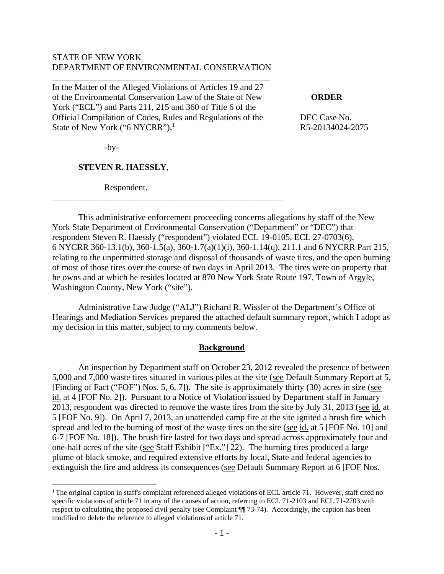## STATE OF NEW YORK DEPARTMENT OF ENVIRONMENTAL CONSERVATION

\_\_\_\_\_\_\_\_\_\_\_\_\_\_\_\_\_\_\_\_\_\_\_\_\_\_\_\_\_\_\_\_\_\_\_\_\_\_\_\_\_\_\_\_\_\_\_\_\_\_

In the Matter of the Alleged Violations of Articles 19 and 27 of the Environmental Conservation Law of the State of New **ORDER** York ("ECL") and Parts 211, 215 and 360 of Title 6 of the Official Compilation of Codes, Rules and Regulations of the DEC Case No. State of New York ("6 NYCRR"), $<sup>1</sup>$ </sup>

\_\_\_\_\_\_\_\_\_\_\_\_\_\_\_\_\_\_\_\_\_\_\_\_\_\_\_\_\_\_\_\_\_\_\_\_\_\_\_\_\_\_\_\_\_\_\_\_\_\_\_\_\_

R5-20134024-2075

 $-by-$ 

 $\overline{a}$ 

## **STEVEN R. HAESSLY**,

Respondent.

 This administrative enforcement proceeding concerns allegations by staff of the New York State Department of Environmental Conservation ("Department" or "DEC") that respondent Steven R. Haessly ("respondent") violated ECL 19-0105, ECL 27-0703(6), 6 NYCRR 360-13.1(b), 360-1.5(a), 360-1.7(a)(1)(i), 360-1.14(q), 211.1 and 6 NYCRR Part 215, relating to the unpermitted storage and disposal of thousands of waste tires, and the open burning of most of those tires over the course of two days in April 2013. The tires were on property that he owns and at which he resides located at 870 New York State Route 197, Town of Argyle, Washington County, New York ("site").

 Administrative Law Judge ("ALJ") Richard R. Wissler of the Department's Office of Hearings and Mediation Services prepared the attached default summary report, which I adopt as my decision in this matter, subject to my comments below.

#### **Background**

An inspection by Department staff on October 23, 2012 revealed the presence of between 5,000 and 7,000 waste tires situated in various piles at the site (see Default Summary Report at 5, [Finding of Fact ("FOF") Nos. 5, 6, 7]). The site is approximately thirty (30) acres in size (see id. at 4 [FOF No. 2]). Pursuant to a Notice of Violation issued by Department staff in January 2013, respondent was directed to remove the waste tires from the site by July 31, 2013 (see id. at 5 [FOF No. 9]). On April 7, 2013, an unattended camp fire at the site ignited a brush fire which spread and led to the burning of most of the waste tires on the site (see id. at 5 [FOF No. 10] and 6-7 [FOF No. 18]). The brush fire lasted for two days and spread across approximately four and one-half acres of the site (see Staff Exhibit ["Ex."] 22). The burning tires produced a large plume of black smoke, and required extensive efforts by local, State and federal agencies to extinguish the fire and address its consequences (see Default Summary Report at 6 [FOF Nos.

<sup>&</sup>lt;sup>1</sup> The original caption in staff's complaint referenced alleged violations of ECL article 71. However, staff cited no specific violations of article 71 in any of the causes of action, referring to ECL 71-2103 and ECL 71-2703 with respect to calculating the proposed civil penalty (see Complaint ¶¶ 73-74). Accordingly, the caption has been modified to delete the reference to alleged violations of article 71.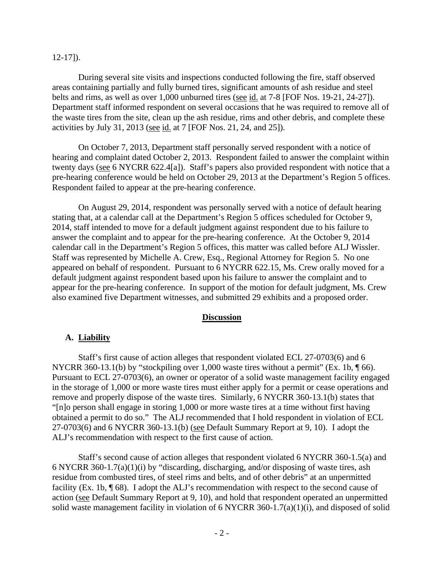#### 12-17]).

During several site visits and inspections conducted following the fire, staff observed areas containing partially and fully burned tires, significant amounts of ash residue and steel belts and rims, as well as over 1,000 unburned tires (see id. at 7-8 [FOF Nos. 19-21, 24-27]). Department staff informed respondent on several occasions that he was required to remove all of the waste tires from the site, clean up the ash residue, rims and other debris, and complete these activities by July 31, 2013 (see id. at 7 [FOF Nos. 21, 24, and 25]).

 On October 7, 2013, Department staff personally served respondent with a notice of hearing and complaint dated October 2, 2013. Respondent failed to answer the complaint within twenty days (see 6 NYCRR 622.4[a]). Staff's papers also provided respondent with notice that a pre-hearing conference would be held on October 29, 2013 at the Department's Region 5 offices. Respondent failed to appear at the pre-hearing conference.

 On August 29, 2014, respondent was personally served with a notice of default hearing stating that, at a calendar call at the Department's Region 5 offices scheduled for October 9, 2014, staff intended to move for a default judgment against respondent due to his failure to answer the complaint and to appear for the pre-hearing conference. At the October 9, 2014 calendar call in the Department's Region 5 offices, this matter was called before ALJ Wissler. Staff was represented by Michelle A. Crew, Esq., Regional Attorney for Region 5. No one appeared on behalf of respondent. Pursuant to 6 NYCRR 622.15, Ms. Crew orally moved for a default judgment against respondent based upon his failure to answer the complaint and to appear for the pre-hearing conference. In support of the motion for default judgment, Ms. Crew also examined five Department witnesses, and submitted 29 exhibits and a proposed order.

#### **Discussion**

#### **A. Liability**

Staff's first cause of action alleges that respondent violated ECL 27-0703(6) and 6 NYCRR 360-13.1(b) by "stockpiling over 1,000 waste tires without a permit" (Ex. 1b,  $\P$  66). Pursuant to ECL 27-0703(6), an owner or operator of a solid waste management facility engaged in the storage of 1,000 or more waste tires must either apply for a permit or cease operations and remove and properly dispose of the waste tires. Similarly, 6 NYCRR 360-13.1(b) states that "[n]o person shall engage in storing 1,000 or more waste tires at a time without first having obtained a permit to do so." The ALJ recommended that I hold respondent in violation of ECL 27-0703(6) and 6 NYCRR 360-13.1(b) (see Default Summary Report at 9, 10). I adopt the ALJ's recommendation with respect to the first cause of action.

Staff's second cause of action alleges that respondent violated 6 NYCRR 360-1.5(a) and 6 NYCRR 360-1.7(a)(1)(i) by "discarding, discharging, and/or disposing of waste tires, ash residue from combusted tires, of steel rims and belts, and of other debris" at an unpermitted facility (Ex. 1b, ¶ 68). I adopt the ALJ's recommendation with respect to the second cause of action (see Default Summary Report at 9, 10), and hold that respondent operated an unpermitted solid waste management facility in violation of 6 NYCRR 360-1.7(a)(1)(i), and disposed of solid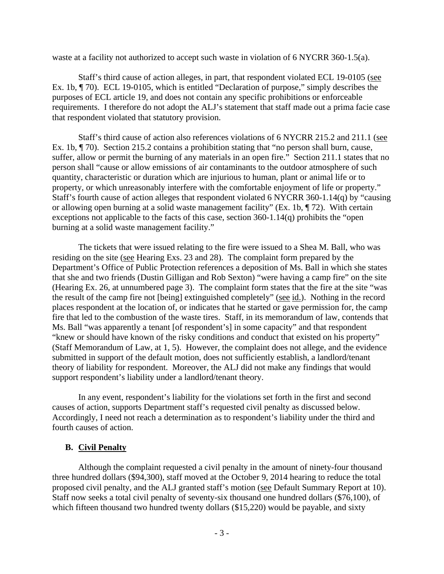waste at a facility not authorized to accept such waste in violation of 6 NYCRR 360-1.5(a).

Staff's third cause of action alleges, in part, that respondent violated ECL 19-0105 (see Ex. 1b, ¶ 70). ECL 19-0105, which is entitled "Declaration of purpose," simply describes the purposes of ECL article 19, and does not contain any specific prohibitions or enforceable requirements. I therefore do not adopt the ALJ's statement that staff made out a prima facie case that respondent violated that statutory provision.

Staff's third cause of action also references violations of 6 NYCRR 215.2 and 211.1 (see Ex. 1b, ¶ 70). Section 215.2 contains a prohibition stating that "no person shall burn, cause, suffer, allow or permit the burning of any materials in an open fire." Section 211.1 states that no person shall "cause or allow emissions of air contaminants to the outdoor atmosphere of such quantity, characteristic or duration which are injurious to human, plant or animal life or to property, or which unreasonably interfere with the comfortable enjoyment of life or property." Staff's fourth cause of action alleges that respondent violated 6 NYCRR 360-1.14(q) by "causing or allowing open burning at a solid waste management facility" (Ex. 1b, ¶ 72). With certain exceptions not applicable to the facts of this case, section 360-1.14(q) prohibits the "open burning at a solid waste management facility."

The tickets that were issued relating to the fire were issued to a Shea M. Ball, who was residing on the site (see Hearing Exs. 23 and 28). The complaint form prepared by the Department's Office of Public Protection references a deposition of Ms. Ball in which she states that she and two friends (Dustin Gilligan and Rob Sexton) "were having a camp fire" on the site (Hearing Ex. 26, at unnumbered page 3). The complaint form states that the fire at the site "was the result of the camp fire not [being] extinguished completely" (see id.). Nothing in the record places respondent at the location of, or indicates that he started or gave permission for, the camp fire that led to the combustion of the waste tires. Staff, in its memorandum of law, contends that Ms. Ball "was apparently a tenant [of respondent's] in some capacity" and that respondent "knew or should have known of the risky conditions and conduct that existed on his property" (Staff Memorandum of Law, at 1, 5). However, the complaint does not allege, and the evidence submitted in support of the default motion, does not sufficiently establish, a landlord/tenant theory of liability for respondent. Moreover, the ALJ did not make any findings that would support respondent's liability under a landlord/tenant theory.

In any event, respondent's liability for the violations set forth in the first and second causes of action, supports Department staff's requested civil penalty as discussed below. Accordingly, I need not reach a determination as to respondent's liability under the third and fourth causes of action.

# **B. Civil Penalty**

Although the complaint requested a civil penalty in the amount of ninety-four thousand three hundred dollars (\$94,300), staff moved at the October 9, 2014 hearing to reduce the total proposed civil penalty, and the ALJ granted staff's motion (see Default Summary Report at 10). Staff now seeks a total civil penalty of seventy-six thousand one hundred dollars (\$76,100), of which fifteen thousand two hundred twenty dollars (\$15,220) would be payable, and sixty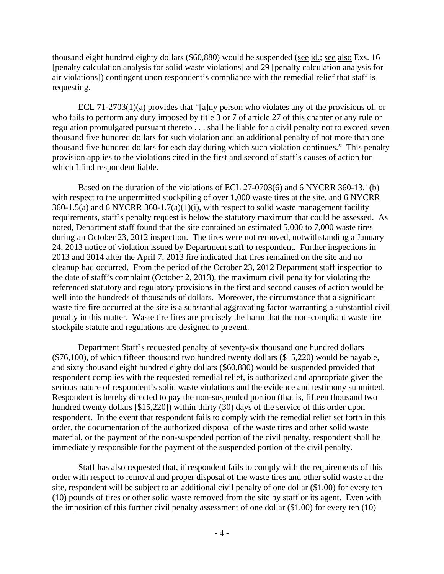thousand eight hundred eighty dollars (\$60,880) would be suspended (see id.; see also Exs. 16 [penalty calculation analysis for solid waste violations] and 29 [penalty calculation analysis for air violations]) contingent upon respondent's compliance with the remedial relief that staff is requesting.

ECL 71-2703(1)(a) provides that "[a]ny person who violates any of the provisions of, or who fails to perform any duty imposed by title 3 or 7 of article 27 of this chapter or any rule or regulation promulgated pursuant thereto . . . shall be liable for a civil penalty not to exceed seven thousand five hundred dollars for such violation and an additional penalty of not more than one thousand five hundred dollars for each day during which such violation continues." This penalty provision applies to the violations cited in the first and second of staff's causes of action for which I find respondent liable.

Based on the duration of the violations of ECL 27-0703(6) and 6 NYCRR 360-13.1(b) with respect to the unpermitted stockpiling of over 1,000 waste tires at the site, and 6 NYCRR 360-1.5(a) and 6 NYCRR 360-1.7(a)(1)(i), with respect to solid waste management facility requirements, staff's penalty request is below the statutory maximum that could be assessed. As noted, Department staff found that the site contained an estimated 5,000 to 7,000 waste tires during an October 23, 2012 inspection. The tires were not removed, notwithstanding a January 24, 2013 notice of violation issued by Department staff to respondent. Further inspections in 2013 and 2014 after the April 7, 2013 fire indicated that tires remained on the site and no cleanup had occurred. From the period of the October 23, 2012 Department staff inspection to the date of staff's complaint (October 2, 2013), the maximum civil penalty for violating the referenced statutory and regulatory provisions in the first and second causes of action would be well into the hundreds of thousands of dollars. Moreover, the circumstance that a significant waste tire fire occurred at the site is a substantial aggravating factor warranting a substantial civil penalty in this matter. Waste tire fires are precisely the harm that the non-compliant waste tire stockpile statute and regulations are designed to prevent.

Department Staff's requested penalty of seventy-six thousand one hundred dollars (\$76,100), of which fifteen thousand two hundred twenty dollars (\$15,220) would be payable, and sixty thousand eight hundred eighty dollars (\$60,880) would be suspended provided that respondent complies with the requested remedial relief, is authorized and appropriate given the serious nature of respondent's solid waste violations and the evidence and testimony submitted. Respondent is hereby directed to pay the non-suspended portion (that is, fifteen thousand two hundred twenty dollars [\$15,220]) within thirty (30) days of the service of this order upon respondent. In the event that respondent fails to comply with the remedial relief set forth in this order, the documentation of the authorized disposal of the waste tires and other solid waste material, or the payment of the non-suspended portion of the civil penalty, respondent shall be immediately responsible for the payment of the suspended portion of the civil penalty.

Staff has also requested that, if respondent fails to comply with the requirements of this order with respect to removal and proper disposal of the waste tires and other solid waste at the site, respondent will be subject to an additional civil penalty of one dollar (\$1.00) for every ten (10) pounds of tires or other solid waste removed from the site by staff or its agent. Even with the imposition of this further civil penalty assessment of one dollar (\$1.00) for every ten (10)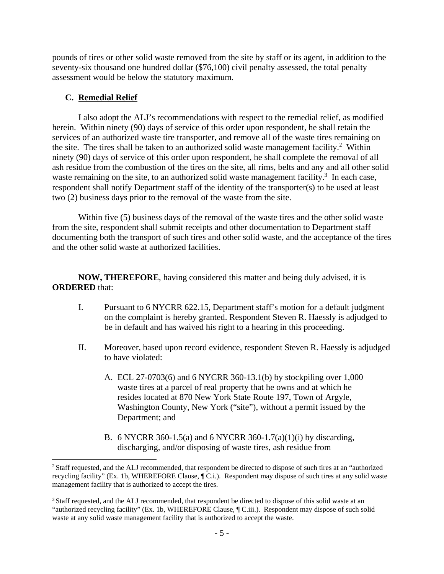pounds of tires or other solid waste removed from the site by staff or its agent, in addition to the seventy-six thousand one hundred dollar (\$76,100) civil penalty assessed, the total penalty assessment would be below the statutory maximum.

# **C. Remedial Relief**

 $\overline{a}$ 

I also adopt the ALJ's recommendations with respect to the remedial relief, as modified herein. Within ninety (90) days of service of this order upon respondent, he shall retain the services of an authorized waste tire transporter, and remove all of the waste tires remaining on the site. The tires shall be taken to an authorized solid waste management facility.<sup>2</sup> Within ninety (90) days of service of this order upon respondent, he shall complete the removal of all ash residue from the combustion of the tires on the site, all rims, belts and any and all other solid waste remaining on the site, to an authorized solid waste management facility.<sup>3</sup> In each case, respondent shall notify Department staff of the identity of the transporter(s) to be used at least two (2) business days prior to the removal of the waste from the site.

Within five (5) business days of the removal of the waste tires and the other solid waste from the site, respondent shall submit receipts and other documentation to Department staff documenting both the transport of such tires and other solid waste, and the acceptance of the tires and the other solid waste at authorized facilities.

**NOW, THEREFORE**, having considered this matter and being duly advised, it is **ORDERED** that:

- I. Pursuant to 6 NYCRR 622.15, Department staff's motion for a default judgment on the complaint is hereby granted. Respondent Steven R. Haessly is adjudged to be in default and has waived his right to a hearing in this proceeding.
- II. Moreover, based upon record evidence, respondent Steven R. Haessly is adjudged to have violated:
	- A. ECL 27-0703(6) and 6 NYCRR 360-13.1(b) by stockpiling over 1,000 waste tires at a parcel of real property that he owns and at which he resides located at 870 New York State Route 197, Town of Argyle, Washington County, New York ("site"), without a permit issued by the Department; and
	- B. 6 NYCRR 360-1.5(a) and 6 NYCRR 360-1.7(a)(1)(i) by discarding, discharging, and/or disposing of waste tires, ash residue from

<sup>&</sup>lt;sup>2</sup> Staff requested, and the ALJ recommended, that respondent be directed to dispose of such tires at an "authorized" recycling facility" (Ex. 1b, WHEREFORE Clause, ¶ C.i.). Respondent may dispose of such tires at any solid waste management facility that is authorized to accept the tires.

<sup>&</sup>lt;sup>3</sup> Staff requested, and the ALJ recommended, that respondent be directed to dispose of this solid waste at an "authorized recycling facility" (Ex. 1b, WHEREFORE Clause, ¶ C.iii.). Respondent may dispose of such solid waste at any solid waste management facility that is authorized to accept the waste.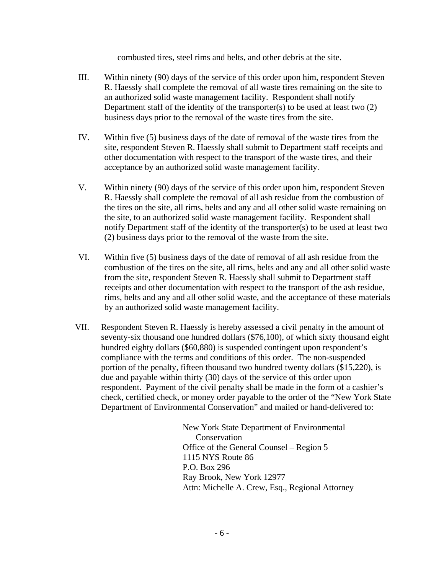combusted tires, steel rims and belts, and other debris at the site.

- III. Within ninety (90) days of the service of this order upon him, respondent Steven R. Haessly shall complete the removal of all waste tires remaining on the site to an authorized solid waste management facility. Respondent shall notify Department staff of the identity of the transporter(s) to be used at least two  $(2)$ business days prior to the removal of the waste tires from the site.
- IV. Within five (5) business days of the date of removal of the waste tires from the site, respondent Steven R. Haessly shall submit to Department staff receipts and other documentation with respect to the transport of the waste tires, and their acceptance by an authorized solid waste management facility.
- V. Within ninety (90) days of the service of this order upon him, respondent Steven R. Haessly shall complete the removal of all ash residue from the combustion of the tires on the site, all rims, belts and any and all other solid waste remaining on the site, to an authorized solid waste management facility. Respondent shall notify Department staff of the identity of the transporter(s) to be used at least two (2) business days prior to the removal of the waste from the site.
- VI. Within five (5) business days of the date of removal of all ash residue from the combustion of the tires on the site, all rims, belts and any and all other solid waste from the site, respondent Steven R. Haessly shall submit to Department staff receipts and other documentation with respect to the transport of the ash residue, rims, belts and any and all other solid waste, and the acceptance of these materials by an authorized solid waste management facility.
- VII. Respondent Steven R. Haessly is hereby assessed a civil penalty in the amount of seventy-six thousand one hundred dollars (\$76,100), of which sixty thousand eight hundred eighty dollars (\$60,880) is suspended contingent upon respondent's compliance with the terms and conditions of this order. The non-suspended portion of the penalty, fifteen thousand two hundred twenty dollars (\$15,220), is due and payable within thirty (30) days of the service of this order upon respondent. Payment of the civil penalty shall be made in the form of a cashier's check, certified check, or money order payable to the order of the "New York State Department of Environmental Conservation" and mailed or hand-delivered to:

New York State Department of Environmental Conservation Office of the General Counsel – Region 5 1115 NYS Route 86 P.O. Box 296 Ray Brook, New York 12977 Attn: Michelle A. Crew, Esq., Regional Attorney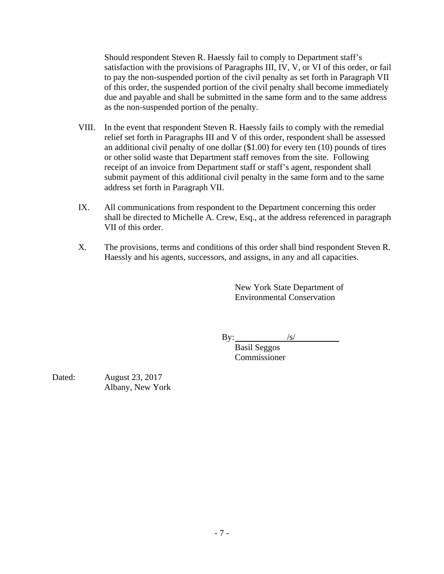Should respondent Steven R. Haessly fail to comply to Department staff's satisfaction with the provisions of Paragraphs III, IV, V, or VI of this order, or fail to pay the non-suspended portion of the civil penalty as set forth in Paragraph VII of this order, the suspended portion of the civil penalty shall become immediately due and payable and shall be submitted in the same form and to the same address as the non-suspended portion of the penalty.

- VIII. In the event that respondent Steven R. Haessly fails to comply with the remedial relief set forth in Paragraphs III and V of this order, respondent shall be assessed an additional civil penalty of one dollar (\$1.00) for every ten (10) pounds of tires or other solid waste that Department staff removes from the site. Following receipt of an invoice from Department staff or staff's agent, respondent shall submit payment of this additional civil penalty in the same form and to the same address set forth in Paragraph VII.
- IX. All communications from respondent to the Department concerning this order shall be directed to Michelle A. Crew, Esq., at the address referenced in paragraph VII of this order.
- X. The provisions, terms and conditions of this order shall bind respondent Steven R. Haessly and his agents, successors, and assigns, in any and all capacities.

New York State Department of Environmental Conservation

 $\mathbf{By:} \qquad \qquad \frac{1}{\mathbf{S}}$ 

 Basil Seggos Commissioner

Dated: August 23, 2017 Albany, New York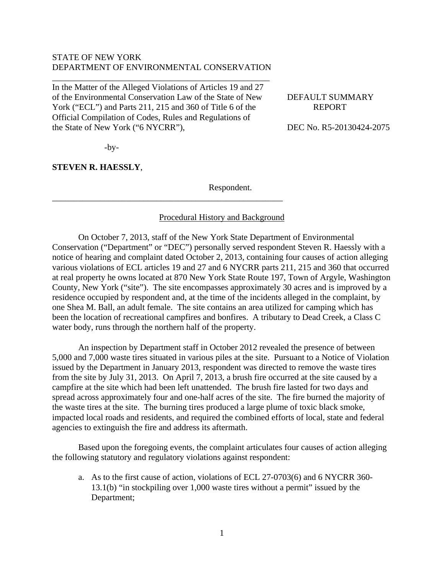## STATE OF NEW YORK DEPARTMENT OF ENVIRONMENTAL CONSERVATION

\_\_\_\_\_\_\_\_\_\_\_\_\_\_\_\_\_\_\_\_\_\_\_\_\_\_\_\_\_\_\_\_\_\_\_\_\_\_\_\_\_\_\_\_\_\_\_\_\_\_

In the Matter of the Alleged Violations of Articles 19 and 27 of the Environmental Conservation Law of the State of New DEFAULT SUMMARY York ("ECL") and Parts 211, 215 and 360 of Title 6 of the REPORT Official Compilation of Codes, Rules and Regulations of the State of New York ("6 NYCRR"), DEC No. R5-20130424-2075

\_\_\_\_\_\_\_\_\_\_\_\_\_\_\_\_\_\_\_\_\_\_\_\_\_\_\_\_\_\_\_\_\_\_\_\_\_\_\_\_\_\_\_\_\_\_\_\_\_\_\_\_\_

 $-by-$ 

**STEVEN R. HAESSLY**,

Respondent.

# Procedural History and Background

On October 7, 2013, staff of the New York State Department of Environmental Conservation ("Department" or "DEC") personally served respondent Steven R. Haessly with a notice of hearing and complaint dated October 2, 2013, containing four causes of action alleging various violations of ECL articles 19 and 27 and 6 NYCRR parts 211, 215 and 360 that occurred at real property he owns located at 870 New York State Route 197, Town of Argyle, Washington County, New York ("site"). The site encompasses approximately 30 acres and is improved by a residence occupied by respondent and, at the time of the incidents alleged in the complaint, by one Shea M. Ball, an adult female. The site contains an area utilized for camping which has been the location of recreational campfires and bonfires. A tributary to Dead Creek, a Class C water body, runs through the northern half of the property.

An inspection by Department staff in October 2012 revealed the presence of between 5,000 and 7,000 waste tires situated in various piles at the site. Pursuant to a Notice of Violation issued by the Department in January 2013, respondent was directed to remove the waste tires from the site by July 31, 2013. On April 7, 2013, a brush fire occurred at the site caused by a campfire at the site which had been left unattended. The brush fire lasted for two days and spread across approximately four and one-half acres of the site. The fire burned the majority of the waste tires at the site. The burning tires produced a large plume of toxic black smoke, impacted local roads and residents, and required the combined efforts of local, state and federal agencies to extinguish the fire and address its aftermath.

Based upon the foregoing events, the complaint articulates four causes of action alleging the following statutory and regulatory violations against respondent:

a. As to the first cause of action, violations of ECL 27-0703(6) and 6 NYCRR 360- 13.1(b) "in stockpiling over 1,000 waste tires without a permit" issued by the Department;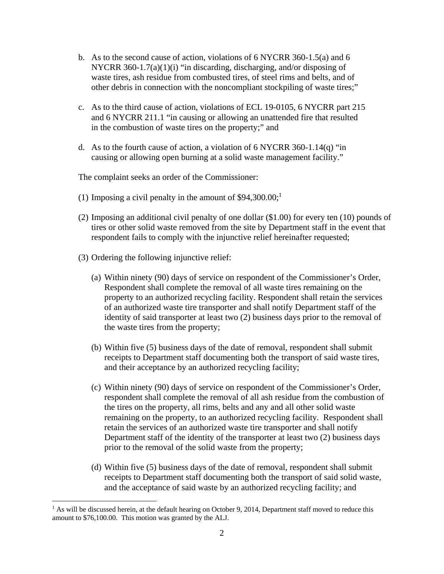- b. As to the second cause of action, violations of 6 NYCRR 360-1.5(a) and 6 NYCRR 360-1.7(a)(1)(i) "in discarding, discharging, and/or disposing of waste tires, ash residue from combusted tires, of steel rims and belts, and of other debris in connection with the noncompliant stockpiling of waste tires;"
- c. As to the third cause of action, violations of ECL 19-0105, 6 NYCRR part 215 and 6 NYCRR 211.1 "in causing or allowing an unattended fire that resulted in the combustion of waste tires on the property;" and
- d. As to the fourth cause of action, a violation of 6 NYCRR 360-1.14(q) "in causing or allowing open burning at a solid waste management facility."

The complaint seeks an order of the Commissioner:

- (1) Imposing a civil penalty in the amount of  $$94,300.00;$ <sup>1</sup>
- (2) Imposing an additional civil penalty of one dollar (\$1.00) for every ten (10) pounds of tires or other solid waste removed from the site by Department staff in the event that respondent fails to comply with the injunctive relief hereinafter requested;
- (3) Ordering the following injunctive relief:

 $\overline{a}$ 

- (a) Within ninety (90) days of service on respondent of the Commissioner's Order, Respondent shall complete the removal of all waste tires remaining on the property to an authorized recycling facility. Respondent shall retain the services of an authorized waste tire transporter and shall notify Department staff of the identity of said transporter at least two (2) business days prior to the removal of the waste tires from the property;
- (b) Within five (5) business days of the date of removal, respondent shall submit receipts to Department staff documenting both the transport of said waste tires, and their acceptance by an authorized recycling facility;
- (c) Within ninety (90) days of service on respondent of the Commissioner's Order, respondent shall complete the removal of all ash residue from the combustion of the tires on the property, all rims, belts and any and all other solid waste remaining on the property, to an authorized recycling facility. Respondent shall retain the services of an authorized waste tire transporter and shall notify Department staff of the identity of the transporter at least two (2) business days prior to the removal of the solid waste from the property;
- (d) Within five (5) business days of the date of removal, respondent shall submit receipts to Department staff documenting both the transport of said solid waste, and the acceptance of said waste by an authorized recycling facility; and

 $<sup>1</sup>$  As will be discussed herein, at the default hearing on October 9, 2014, Department staff moved to reduce this</sup> amount to \$76,100.00. This motion was granted by the ALJ.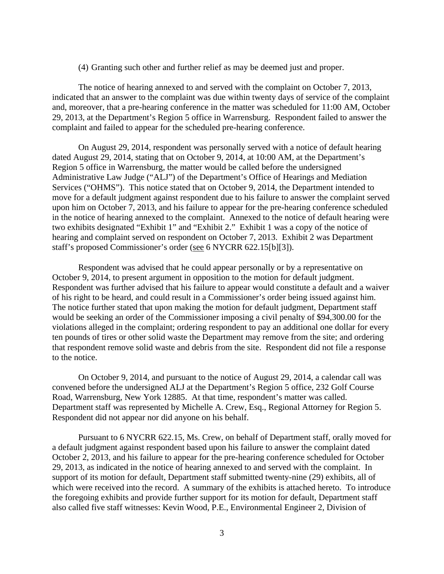(4) Granting such other and further relief as may be deemed just and proper.

The notice of hearing annexed to and served with the complaint on October 7, 2013, indicated that an answer to the complaint was due within twenty days of service of the complaint and, moreover, that a pre-hearing conference in the matter was scheduled for 11:00 AM, October 29, 2013, at the Department's Region 5 office in Warrensburg. Respondent failed to answer the complaint and failed to appear for the scheduled pre-hearing conference.

On August 29, 2014, respondent was personally served with a notice of default hearing dated August 29, 2014, stating that on October 9, 2014, at 10:00 AM, at the Department's Region 5 office in Warrensburg, the matter would be called before the undersigned Administrative Law Judge ("ALJ") of the Department's Office of Hearings and Mediation Services ("OHMS"). This notice stated that on October 9, 2014, the Department intended to move for a default judgment against respondent due to his failure to answer the complaint served upon him on October 7, 2013, and his failure to appear for the pre-hearing conference scheduled in the notice of hearing annexed to the complaint. Annexed to the notice of default hearing were two exhibits designated "Exhibit 1" and "Exhibit 2." Exhibit 1 was a copy of the notice of hearing and complaint served on respondent on October 7, 2013. Exhibit 2 was Department staff's proposed Commissioner's order (see 6 NYCRR 622.15[b][3]).

Respondent was advised that he could appear personally or by a representative on October 9, 2014, to present argument in opposition to the motion for default judgment. Respondent was further advised that his failure to appear would constitute a default and a waiver of his right to be heard, and could result in a Commissioner's order being issued against him. The notice further stated that upon making the motion for default judgment, Department staff would be seeking an order of the Commissioner imposing a civil penalty of \$94,300.00 for the violations alleged in the complaint; ordering respondent to pay an additional one dollar for every ten pounds of tires or other solid waste the Department may remove from the site; and ordering that respondent remove solid waste and debris from the site. Respondent did not file a response to the notice.

On October 9, 2014, and pursuant to the notice of August 29, 2014, a calendar call was convened before the undersigned ALJ at the Department's Region 5 office, 232 Golf Course Road, Warrensburg, New York 12885. At that time, respondent's matter was called. Department staff was represented by Michelle A. Crew, Esq., Regional Attorney for Region 5. Respondent did not appear nor did anyone on his behalf.

Pursuant to 6 NYCRR 622.15, Ms. Crew, on behalf of Department staff, orally moved for a default judgment against respondent based upon his failure to answer the complaint dated October 2, 2013, and his failure to appear for the pre-hearing conference scheduled for October 29, 2013, as indicated in the notice of hearing annexed to and served with the complaint. In support of its motion for default, Department staff submitted twenty-nine (29) exhibits, all of which were received into the record. A summary of the exhibits is attached hereto. To introduce the foregoing exhibits and provide further support for its motion for default, Department staff also called five staff witnesses: Kevin Wood, P.E., Environmental Engineer 2, Division of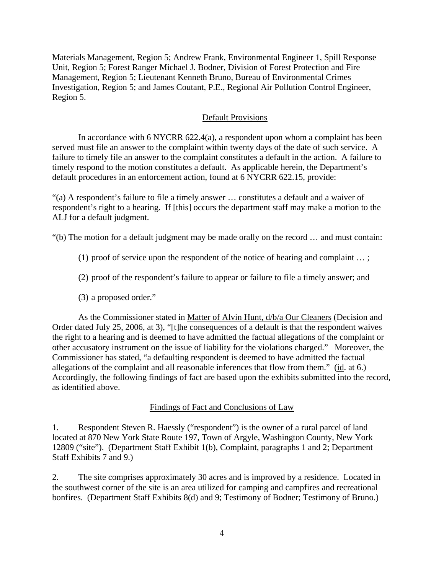Materials Management, Region 5; Andrew Frank, Environmental Engineer 1, Spill Response Unit, Region 5; Forest Ranger Michael J. Bodner, Division of Forest Protection and Fire Management, Region 5; Lieutenant Kenneth Bruno, Bureau of Environmental Crimes Investigation, Region 5; and James Coutant, P.E., Regional Air Pollution Control Engineer, Region 5.

## Default Provisions

In accordance with 6 NYCRR  $622.4(a)$ , a respondent upon whom a complaint has been served must file an answer to the complaint within twenty days of the date of such service. A failure to timely file an answer to the complaint constitutes a default in the action. A failure to timely respond to the motion constitutes a default. As applicable herein, the Department's default procedures in an enforcement action, found at 6 NYCRR 622.15, provide:

"(a) A respondent's failure to file a timely answer … constitutes a default and a waiver of respondent's right to a hearing. If [this] occurs the department staff may make a motion to the ALJ for a default judgment.

"(b) The motion for a default judgment may be made orally on the record … and must contain:

- (1) proof of service upon the respondent of the notice of hearing and complaint … ;
- (2) proof of the respondent's failure to appear or failure to file a timely answer; and
- (3) a proposed order."

 As the Commissioner stated in Matter of Alvin Hunt, d/b/a Our Cleaners (Decision and Order dated July 25, 2006, at 3), "[t]he consequences of a default is that the respondent waives the right to a hearing and is deemed to have admitted the factual allegations of the complaint or other accusatory instrument on the issue of liability for the violations charged." Moreover, the Commissioner has stated, "a defaulting respondent is deemed to have admitted the factual allegations of the complaint and all reasonable inferences that flow from them." (id. at 6.) Accordingly, the following findings of fact are based upon the exhibits submitted into the record, as identified above.

### Findings of Fact and Conclusions of Law

1. Respondent Steven R. Haessly ("respondent") is the owner of a rural parcel of land located at 870 New York State Route 197, Town of Argyle, Washington County, New York 12809 ("site"). (Department Staff Exhibit 1(b), Complaint, paragraphs 1 and 2; Department Staff Exhibits 7 and 9.)

2. The site comprises approximately 30 acres and is improved by a residence. Located in the southwest corner of the site is an area utilized for camping and campfires and recreational bonfires. (Department Staff Exhibits 8(d) and 9; Testimony of Bodner; Testimony of Bruno.)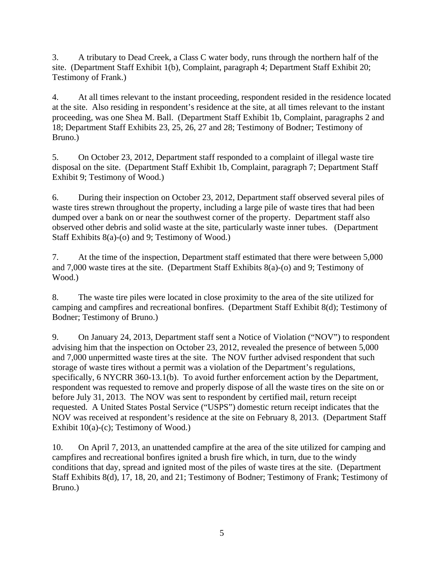3. A tributary to Dead Creek, a Class C water body, runs through the northern half of the site. (Department Staff Exhibit 1(b), Complaint, paragraph 4; Department Staff Exhibit 20; Testimony of Frank.)

4. At all times relevant to the instant proceeding, respondent resided in the residence located at the site. Also residing in respondent's residence at the site, at all times relevant to the instant proceeding, was one Shea M. Ball. (Department Staff Exhibit 1b, Complaint, paragraphs 2 and 18; Department Staff Exhibits 23, 25, 26, 27 and 28; Testimony of Bodner; Testimony of Bruno.)

5. On October 23, 2012, Department staff responded to a complaint of illegal waste tire disposal on the site. (Department Staff Exhibit 1b, Complaint, paragraph 7; Department Staff Exhibit 9; Testimony of Wood.)

6. During their inspection on October 23, 2012, Department staff observed several piles of waste tires strewn throughout the property, including a large pile of waste tires that had been dumped over a bank on or near the southwest corner of the property. Department staff also observed other debris and solid waste at the site, particularly waste inner tubes. (Department Staff Exhibits 8(a)-(o) and 9; Testimony of Wood.)

7. At the time of the inspection, Department staff estimated that there were between 5,000 and 7,000 waste tires at the site. (Department Staff Exhibits 8(a)-(o) and 9; Testimony of Wood.)

8. The waste tire piles were located in close proximity to the area of the site utilized for camping and campfires and recreational bonfires. (Department Staff Exhibit 8(d); Testimony of Bodner; Testimony of Bruno.)

9. On January 24, 2013, Department staff sent a Notice of Violation ("NOV") to respondent advising him that the inspection on October 23, 2012, revealed the presence of between 5,000 and 7,000 unpermitted waste tires at the site. The NOV further advised respondent that such storage of waste tires without a permit was a violation of the Department's regulations, specifically, 6 NYCRR 360-13.1(b). To avoid further enforcement action by the Department, respondent was requested to remove and properly dispose of all the waste tires on the site on or before July 31, 2013. The NOV was sent to respondent by certified mail, return receipt requested. A United States Postal Service ("USPS") domestic return receipt indicates that the NOV was received at respondent's residence at the site on February 8, 2013. (Department Staff Exhibit  $10(a)-(c)$ ; Testimony of Wood.)

10. On April 7, 2013, an unattended campfire at the area of the site utilized for camping and campfires and recreational bonfires ignited a brush fire which, in turn, due to the windy conditions that day, spread and ignited most of the piles of waste tires at the site. (Department Staff Exhibits 8(d), 17, 18, 20, and 21; Testimony of Bodner; Testimony of Frank; Testimony of Bruno.)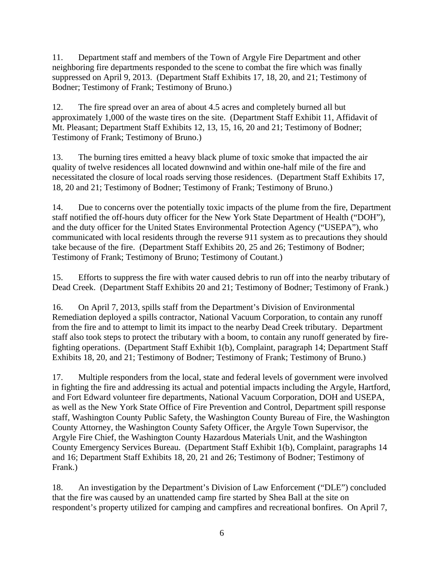11. Department staff and members of the Town of Argyle Fire Department and other neighboring fire departments responded to the scene to combat the fire which was finally suppressed on April 9, 2013. (Department Staff Exhibits 17, 18, 20, and 21; Testimony of Bodner; Testimony of Frank; Testimony of Bruno.)

12. The fire spread over an area of about 4.5 acres and completely burned all but approximately 1,000 of the waste tires on the site. (Department Staff Exhibit 11, Affidavit of Mt. Pleasant; Department Staff Exhibits 12, 13, 15, 16, 20 and 21; Testimony of Bodner; Testimony of Frank; Testimony of Bruno.)

13. The burning tires emitted a heavy black plume of toxic smoke that impacted the air quality of twelve residences all located downwind and within one-half mile of the fire and necessitated the closure of local roads serving those residences. (Department Staff Exhibits 17, 18, 20 and 21; Testimony of Bodner; Testimony of Frank; Testimony of Bruno.)

14. Due to concerns over the potentially toxic impacts of the plume from the fire, Department staff notified the off-hours duty officer for the New York State Department of Health ("DOH"), and the duty officer for the United States Environmental Protection Agency ("USEPA"), who communicated with local residents through the reverse 911 system as to precautions they should take because of the fire. (Department Staff Exhibits 20, 25 and 26; Testimony of Bodner; Testimony of Frank; Testimony of Bruno; Testimony of Coutant.)

15. Efforts to suppress the fire with water caused debris to run off into the nearby tributary of Dead Creek. (Department Staff Exhibits 20 and 21; Testimony of Bodner; Testimony of Frank.)

16. On April 7, 2013, spills staff from the Department's Division of Environmental Remediation deployed a spills contractor, National Vacuum Corporation, to contain any runoff from the fire and to attempt to limit its impact to the nearby Dead Creek tributary. Department staff also took steps to protect the tributary with a boom, to contain any runoff generated by firefighting operations. (Department Staff Exhibit 1(b), Complaint, paragraph 14; Department Staff Exhibits 18, 20, and 21; Testimony of Bodner; Testimony of Frank; Testimony of Bruno.)

17. Multiple responders from the local, state and federal levels of government were involved in fighting the fire and addressing its actual and potential impacts including the Argyle, Hartford, and Fort Edward volunteer fire departments, National Vacuum Corporation, DOH and USEPA, as well as the New York State Office of Fire Prevention and Control, Department spill response staff, Washington County Public Safety, the Washington County Bureau of Fire, the Washington County Attorney, the Washington County Safety Officer, the Argyle Town Supervisor, the Argyle Fire Chief, the Washington County Hazardous Materials Unit, and the Washington County Emergency Services Bureau. (Department Staff Exhibit 1(b), Complaint, paragraphs 14 and 16; Department Staff Exhibits 18, 20, 21 and 26; Testimony of Bodner; Testimony of Frank.)

18. An investigation by the Department's Division of Law Enforcement ("DLE") concluded that the fire was caused by an unattended camp fire started by Shea Ball at the site on respondent's property utilized for camping and campfires and recreational bonfires. On April 7,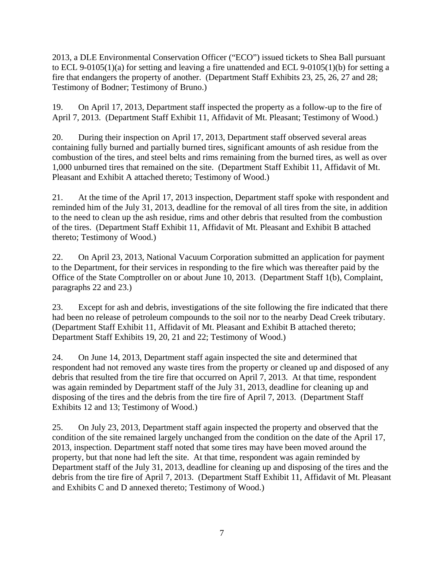2013, a DLE Environmental Conservation Officer ("ECO") issued tickets to Shea Ball pursuant to ECL 9-0105(1)(a) for setting and leaving a fire unattended and ECL 9-0105(1)(b) for setting a fire that endangers the property of another. (Department Staff Exhibits 23, 25, 26, 27 and 28; Testimony of Bodner; Testimony of Bruno.)

19. On April 17, 2013, Department staff inspected the property as a follow-up to the fire of April 7, 2013. (Department Staff Exhibit 11, Affidavit of Mt. Pleasant; Testimony of Wood.)

20. During their inspection on April 17, 2013, Department staff observed several areas containing fully burned and partially burned tires, significant amounts of ash residue from the combustion of the tires, and steel belts and rims remaining from the burned tires, as well as over 1,000 unburned tires that remained on the site. (Department Staff Exhibit 11, Affidavit of Mt. Pleasant and Exhibit A attached thereto; Testimony of Wood.)

21. At the time of the April 17, 2013 inspection, Department staff spoke with respondent and reminded him of the July 31, 2013, deadline for the removal of all tires from the site, in addition to the need to clean up the ash residue, rims and other debris that resulted from the combustion of the tires. (Department Staff Exhibit 11, Affidavit of Mt. Pleasant and Exhibit B attached thereto; Testimony of Wood.)

22. On April 23, 2013, National Vacuum Corporation submitted an application for payment to the Department, for their services in responding to the fire which was thereafter paid by the Office of the State Comptroller on or about June 10, 2013. (Department Staff 1(b), Complaint, paragraphs 22 and 23.)

23. Except for ash and debris, investigations of the site following the fire indicated that there had been no release of petroleum compounds to the soil nor to the nearby Dead Creek tributary. (Department Staff Exhibit 11, Affidavit of Mt. Pleasant and Exhibit B attached thereto; Department Staff Exhibits 19, 20, 21 and 22; Testimony of Wood.)

24. On June 14, 2013, Department staff again inspected the site and determined that respondent had not removed any waste tires from the property or cleaned up and disposed of any debris that resulted from the tire fire that occurred on April 7, 2013. At that time, respondent was again reminded by Department staff of the July 31, 2013, deadline for cleaning up and disposing of the tires and the debris from the tire fire of April 7, 2013. (Department Staff Exhibits 12 and 13; Testimony of Wood.)

25. On July 23, 2013, Department staff again inspected the property and observed that the condition of the site remained largely unchanged from the condition on the date of the April 17, 2013, inspection. Department staff noted that some tires may have been moved around the property, but that none had left the site. At that time, respondent was again reminded by Department staff of the July 31, 2013, deadline for cleaning up and disposing of the tires and the debris from the tire fire of April 7, 2013. (Department Staff Exhibit 11, Affidavit of Mt. Pleasant and Exhibits C and D annexed thereto; Testimony of Wood.)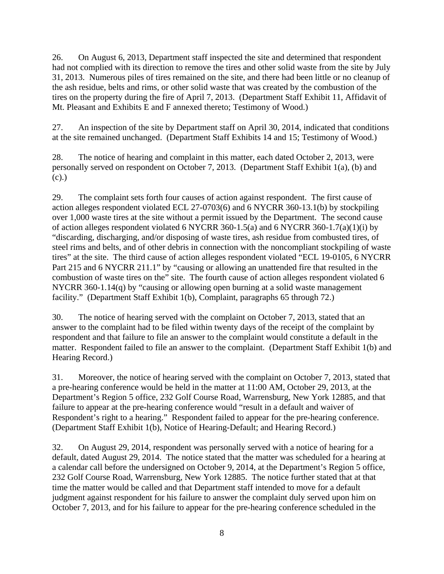26. On August 6, 2013, Department staff inspected the site and determined that respondent had not complied with its direction to remove the tires and other solid waste from the site by July 31, 2013. Numerous piles of tires remained on the site, and there had been little or no cleanup of the ash residue, belts and rims, or other solid waste that was created by the combustion of the tires on the property during the fire of April 7, 2013. (Department Staff Exhibit 11, Affidavit of Mt. Pleasant and Exhibits E and F annexed thereto; Testimony of Wood.)

27. An inspection of the site by Department staff on April 30, 2014, indicated that conditions at the site remained unchanged. (Department Staff Exhibits 14 and 15; Testimony of Wood.)

28. The notice of hearing and complaint in this matter, each dated October 2, 2013, were personally served on respondent on October 7, 2013. (Department Staff Exhibit 1(a), (b) and (c).)

29. The complaint sets forth four causes of action against respondent. The first cause of action alleges respondent violated ECL 27-0703(6) and 6 NYCRR 360-13.1(b) by stockpiling over 1,000 waste tires at the site without a permit issued by the Department. The second cause of action alleges respondent violated 6 NYCRR 360-1.5(a) and 6 NYCRR 360-1.7(a)(1)(i) by "discarding, discharging, and/or disposing of waste tires, ash residue from combusted tires, of steel rims and belts, and of other debris in connection with the noncompliant stockpiling of waste tires" at the site. The third cause of action alleges respondent violated "ECL 19-0105, 6 NYCRR Part 215 and 6 NYCRR 211.1" by "causing or allowing an unattended fire that resulted in the combustion of waste tires on the" site. The fourth cause of action alleges respondent violated 6 NYCRR 360-1.14(q) by "causing or allowing open burning at a solid waste management facility." (Department Staff Exhibit 1(b), Complaint, paragraphs 65 through 72.)

30. The notice of hearing served with the complaint on October 7, 2013, stated that an answer to the complaint had to be filed within twenty days of the receipt of the complaint by respondent and that failure to file an answer to the complaint would constitute a default in the matter. Respondent failed to file an answer to the complaint. (Department Staff Exhibit 1(b) and Hearing Record.)

31. Moreover, the notice of hearing served with the complaint on October 7, 2013, stated that a pre-hearing conference would be held in the matter at 11:00 AM, October 29, 2013, at the Department's Region 5 office, 232 Golf Course Road, Warrensburg, New York 12885, and that failure to appear at the pre-hearing conference would "result in a default and waiver of Respondent's right to a hearing." Respondent failed to appear for the pre-hearing conference. (Department Staff Exhibit 1(b), Notice of Hearing-Default; and Hearing Record.)

32. On August 29, 2014, respondent was personally served with a notice of hearing for a default, dated August 29, 2014. The notice stated that the matter was scheduled for a hearing at a calendar call before the undersigned on October 9, 2014, at the Department's Region 5 office, 232 Golf Course Road, Warrensburg, New York 12885. The notice further stated that at that time the matter would be called and that Department staff intended to move for a default judgment against respondent for his failure to answer the complaint duly served upon him on October 7, 2013, and for his failure to appear for the pre-hearing conference scheduled in the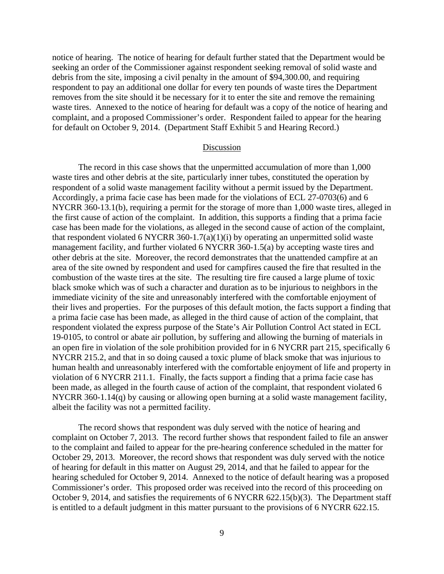notice of hearing. The notice of hearing for default further stated that the Department would be seeking an order of the Commissioner against respondent seeking removal of solid waste and debris from the site, imposing a civil penalty in the amount of \$94,300.00, and requiring respondent to pay an additional one dollar for every ten pounds of waste tires the Department removes from the site should it be necessary for it to enter the site and remove the remaining waste tires. Annexed to the notice of hearing for default was a copy of the notice of hearing and complaint, and a proposed Commissioner's order. Respondent failed to appear for the hearing for default on October 9, 2014. (Department Staff Exhibit 5 and Hearing Record.)

#### Discussion

 The record in this case shows that the unpermitted accumulation of more than 1,000 waste tires and other debris at the site, particularly inner tubes, constituted the operation by respondent of a solid waste management facility without a permit issued by the Department. Accordingly, a prima facie case has been made for the violations of ECL 27-0703(6) and 6 NYCRR 360-13.1(b), requiring a permit for the storage of more than 1,000 waste tires, alleged in the first cause of action of the complaint. In addition, this supports a finding that a prima facie case has been made for the violations, as alleged in the second cause of action of the complaint, that respondent violated 6 NYCRR 360-1.7(a)(1)(i) by operating an unpermitted solid waste management facility, and further violated 6 NYCRR 360-1.5(a) by accepting waste tires and other debris at the site. Moreover, the record demonstrates that the unattended campfire at an area of the site owned by respondent and used for campfires caused the fire that resulted in the combustion of the waste tires at the site. The resulting tire fire caused a large plume of toxic black smoke which was of such a character and duration as to be injurious to neighbors in the immediate vicinity of the site and unreasonably interfered with the comfortable enjoyment of their lives and properties. For the purposes of this default motion, the facts support a finding that a prima facie case has been made, as alleged in the third cause of action of the complaint, that respondent violated the express purpose of the State's Air Pollution Control Act stated in ECL 19-0105, to control or abate air pollution, by suffering and allowing the burning of materials in an open fire in violation of the sole prohibition provided for in 6 NYCRR part 215, specifically 6 NYCRR 215.2, and that in so doing caused a toxic plume of black smoke that was injurious to human health and unreasonably interfered with the comfortable enjoyment of life and property in violation of 6 NYCRR 211.1. Finally, the facts support a finding that a prima facie case has been made, as alleged in the fourth cause of action of the complaint, that respondent violated 6 NYCRR 360-1.14(q) by causing or allowing open burning at a solid waste management facility, albeit the facility was not a permitted facility.

The record shows that respondent was duly served with the notice of hearing and complaint on October 7, 2013. The record further shows that respondent failed to file an answer to the complaint and failed to appear for the pre-hearing conference scheduled in the matter for October 29, 2013. Moreover, the record shows that respondent was duly served with the notice of hearing for default in this matter on August 29, 2014, and that he failed to appear for the hearing scheduled for October 9, 2014. Annexed to the notice of default hearing was a proposed Commissioner's order. This proposed order was received into the record of this proceeding on October 9, 2014, and satisfies the requirements of 6 NYCRR 622.15(b)(3). The Department staff is entitled to a default judgment in this matter pursuant to the provisions of 6 NYCRR 622.15.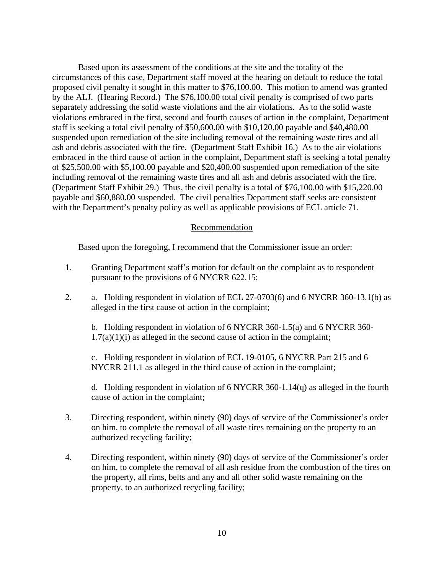Based upon its assessment of the conditions at the site and the totality of the circumstances of this case, Department staff moved at the hearing on default to reduce the total proposed civil penalty it sought in this matter to \$76,100.00. This motion to amend was granted by the ALJ. (Hearing Record.) The \$76,100.00 total civil penalty is comprised of two parts separately addressing the solid waste violations and the air violations. As to the solid waste violations embraced in the first, second and fourth causes of action in the complaint, Department staff is seeking a total civil penalty of \$50,600.00 with \$10,120.00 payable and \$40,480.00 suspended upon remediation of the site including removal of the remaining waste tires and all ash and debris associated with the fire. (Department Staff Exhibit 16.) As to the air violations embraced in the third cause of action in the complaint, Department staff is seeking a total penalty of \$25,500.00 with \$5,100.00 payable and \$20,400.00 suspended upon remediation of the site including removal of the remaining waste tires and all ash and debris associated with the fire. (Department Staff Exhibit 29.) Thus, the civil penalty is a total of \$76,100.00 with \$15,220.00 payable and \$60,880.00 suspended. The civil penalties Department staff seeks are consistent with the Department's penalty policy as well as applicable provisions of ECL article 71.

### Recommendation

Based upon the foregoing, I recommend that the Commissioner issue an order:

- 1. Granting Department staff's motion for default on the complaint as to respondent pursuant to the provisions of 6 NYCRR 622.15;
- 2. a. Holding respondent in violation of ECL 27-0703(6) and 6 NYCRR 360-13.1(b) as alleged in the first cause of action in the complaint;

b. Holding respondent in violation of 6 NYCRR 360-1.5(a) and 6 NYCRR 360-  $1.7(a)(1)(i)$  as alleged in the second cause of action in the complaint;

c. Holding respondent in violation of ECL 19-0105, 6 NYCRR Part 215 and 6 NYCRR 211.1 as alleged in the third cause of action in the complaint;

d. Holding respondent in violation of  $6$  NYCRR 360-1.14(q) as alleged in the fourth cause of action in the complaint;

- 3. Directing respondent, within ninety (90) days of service of the Commissioner's order on him, to complete the removal of all waste tires remaining on the property to an authorized recycling facility;
- 4. Directing respondent, within ninety (90) days of service of the Commissioner's order on him, to complete the removal of all ash residue from the combustion of the tires on the property, all rims, belts and any and all other solid waste remaining on the property, to an authorized recycling facility;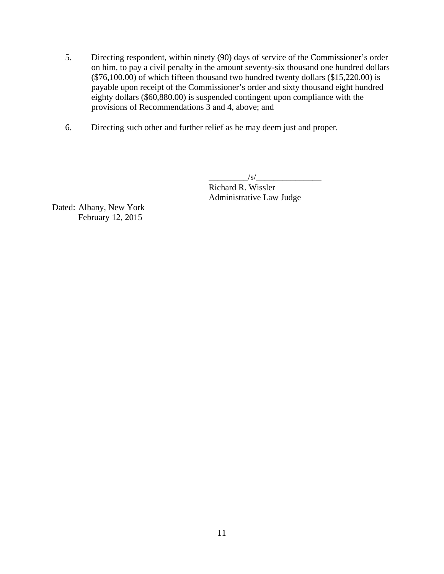- 5. Directing respondent, within ninety (90) days of service of the Commissioner's order on him, to pay a civil penalty in the amount seventy-six thousand one hundred dollars  $(\$76,100.00)$  of which fifteen thousand two hundred twenty dollars  $(\$15,220.00)$  is payable upon receipt of the Commissioner's order and sixty thousand eight hundred eighty dollars (\$60,880.00) is suspended contingent upon compliance with the provisions of Recommendations 3 and 4, above; and
- 6. Directing such other and further relief as he may deem just and proper.

 $\frac{1}{s}$  Richard R. Wissler Administrative Law Judge

Dated: Albany, New York February 12, 2015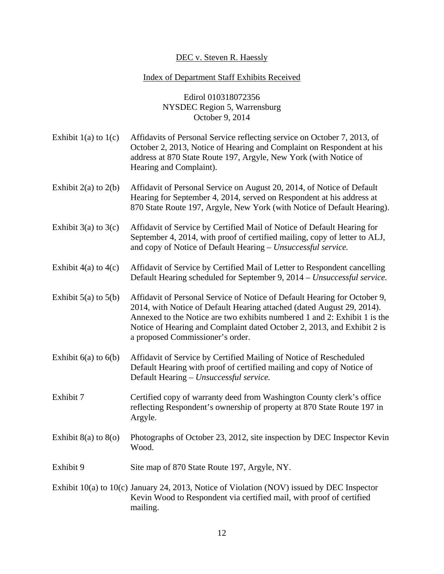# DEC v. Steven R. Haessly

## Index of Department Staff Exhibits Received

Edirol 010318072356 NYSDEC Region 5, Warrensburg October 9, 2014

- Exhibit 1(a) to 1(c) Affidavits of Personal Service reflecting service on October 7, 2013, of October 2, 2013, Notice of Hearing and Complaint on Respondent at his address at 870 State Route 197, Argyle, New York (with Notice of Hearing and Complaint).
- Exhibit 2(a) to 2(b) Affidavit of Personal Service on August 20, 2014, of Notice of Default Hearing for September 4, 2014, served on Respondent at his address at 870 State Route 197, Argyle, New York (with Notice of Default Hearing).
- Exhibit 3(a) to 3(c) Affidavit of Service by Certified Mail of Notice of Default Hearing for September 4, 2014, with proof of certified mailing, copy of letter to ALJ, and copy of Notice of Default Hearing – *Unsuccessful service.*
- Exhibit 4(a) to 4(c) Affidavit of Service by Certified Mail of Letter to Respondent cancelling Default Hearing scheduled for September 9, 2014 – *Unsuccessful service.*

Exhibit 5(a) to 5(b) Affidavit of Personal Service of Notice of Default Hearing for October 9, 2014, with Notice of Default Hearing attached (dated August 29, 2014). Annexed to the Notice are two exhibits numbered 1 and 2: Exhibit 1 is the Notice of Hearing and Complaint dated October 2, 2013, and Exhibit 2 is a proposed Commissioner's order.

- Exhibit 6(a) to 6(b) Affidavit of Service by Certified Mailing of Notice of Rescheduled Default Hearing with proof of certified mailing and copy of Notice of Default Hearing – *Unsuccessful service.*
- Exhibit 7 Certified copy of warranty deed from Washington County clerk's office reflecting Respondent's ownership of property at 870 State Route 197 in Argyle.
- Exhibit 8(a) to 8(o) Photographs of October 23, 2012, site inspection by DEC Inspector Kevin Wood.
- Exhibit 9 Site map of 870 State Route 197, Argyle, NY.
- Exhibit 10(a) to 10(c) January 24, 2013, Notice of Violation (NOV) issued by DEC Inspector Kevin Wood to Respondent via certified mail, with proof of certified mailing.